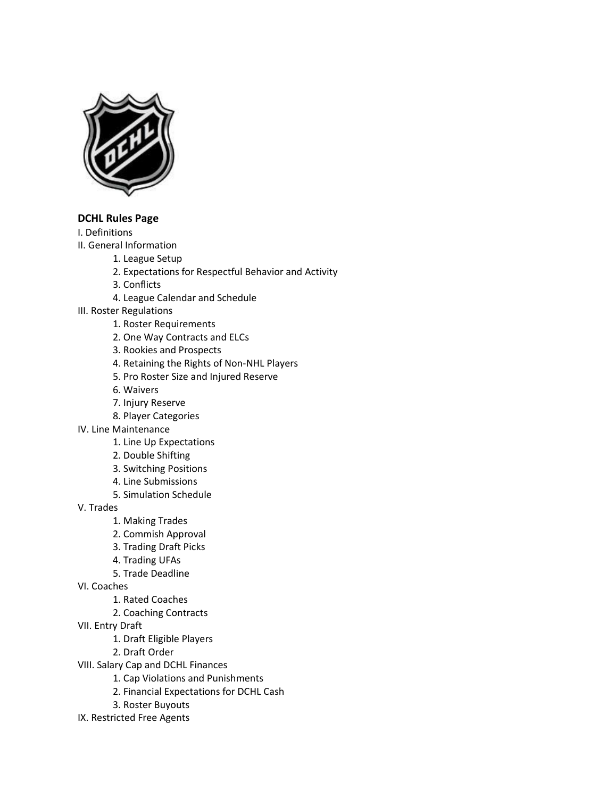

## **DCHL Rules Page**

I. Definitions

- II. General Information
	- 1. League Setup
		- 2. Expectations for Respectful Behavior and Activity
		- 3. Conflicts
		- 4. League Calendar and Schedule
- III. Roster Regulations
	- 1. Roster Requirements
	- 2. One Way Contracts and ELCs
	- 3. Rookies and Prospects
	- 4. Retaining the Rights of Non-NHL Players
	- 5. Pro Roster Size and Injured Reserve
	- 6. Waivers
	- 7. Injury Reserve
	- 8. Player Categories
- IV. Line Maintenance
	- 1. Line Up Expectations
	- 2. Double Shifting
	- 3. Switching Positions
	- 4. Line Submissions
	- 5. Simulation Schedule

V. Trades

- 1. Making Trades
- 2. Commish Approval
- 3. Trading Draft Picks
- 4. Trading UFAs
- 5. Trade Deadline
- VI. Coaches
	- 1. Rated Coaches
	- 2. Coaching Contracts
- VII. Entry Draft
	- 1. Draft Eligible Players
	- 2. Draft Order
- VIII. Salary Cap and DCHL Finances
	- 1. Cap Violations and Punishments
	- 2. Financial Expectations for DCHL Cash
	- 3. Roster Buyouts
- IX. Restricted Free Agents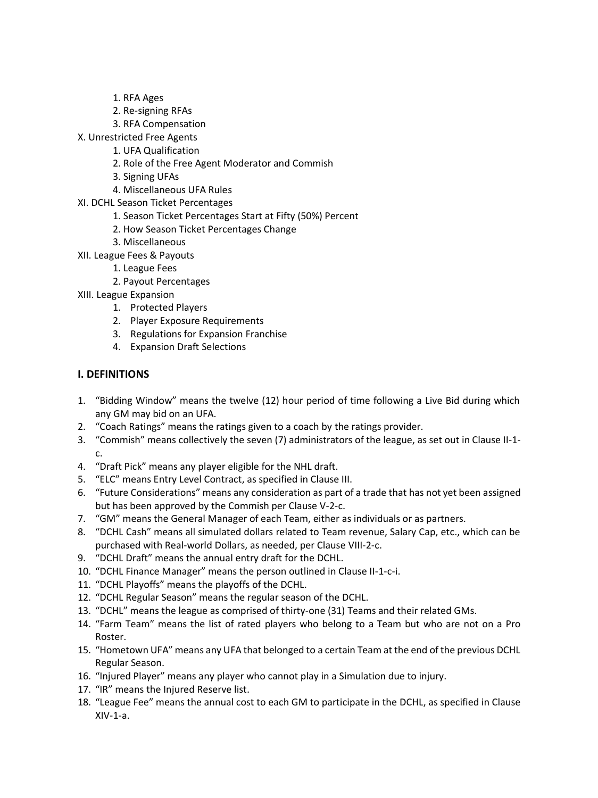- 1. RFA Ages
- 2. Re-signing RFAs
- 3. RFA Compensation
- X. Unrestricted Free Agents
	- 1. UFA Qualification
	- 2. Role of the Free Agent Moderator and Commish
	- 3. Signing UFAs
	- 4. Miscellaneous UFA Rules
- XI. DCHL Season Ticket Percentages
	- 1. Season Ticket Percentages Start at Fifty (50%) Percent
	- 2. How Season Ticket Percentages Change
	- 3. Miscellaneous
- XII. League Fees & Payouts
	- 1. League Fees
	- 2. Payout Percentages
- XIII. League Expansion
	- 1. Protected Players
	- 2. Player Exposure Requirements
	- 3. Regulations for Expansion Franchise
	- 4. Expansion Draft Selections

## **I. DEFINITIONS**

- 1. "Bidding Window" means the twelve (12) hour period of time following a Live Bid during which any GM may bid on an UFA.
- 2. "Coach Ratings" means the ratings given to a coach by the ratings provider.
- 3. "Commish" means collectively the seven (7) administrators of the league, as set out in Clause II-1 c.
- 4. "Draft Pick" means any player eligible for the NHL draft.
- 5. "ELC" means Entry Level Contract, as specified in Clause III.
- 6. "Future Considerations" means any consideration as part of a trade that has not yet been assigned but has been approved by the Commish per Clause V-2-c.
- 7. "GM" means the General Manager of each Team, either as individuals or as partners.
- 8. "DCHL Cash" means all simulated dollars related to Team revenue, Salary Cap, etc., which can be purchased with Real-world Dollars, as needed, per Clause VIII-2-c.
- 9. "DCHL Draft" means the annual entry draft for the DCHL.
- 10. "DCHL Finance Manager" means the person outlined in Clause II-1-c-i.
- 11. "DCHL Playoffs" means the playoffs of the DCHL.
- 12. "DCHL Regular Season" means the regular season of the DCHL.
- 13. "DCHL" means the league as comprised of thirty-one (31) Teams and their related GMs.
- 14. "Farm Team" means the list of rated players who belong to a Team but who are not on a Pro Roster.
- 15. "Hometown UFA" means any UFA that belonged to a certain Team at the end of the previous DCHL Regular Season.
- 16. "Injured Player" means any player who cannot play in a Simulation due to injury.
- 17. "IR" means the Injured Reserve list.
- 18. "League Fee" means the annual cost to each GM to participate in the DCHL, as specified in Clause XIV-1-a.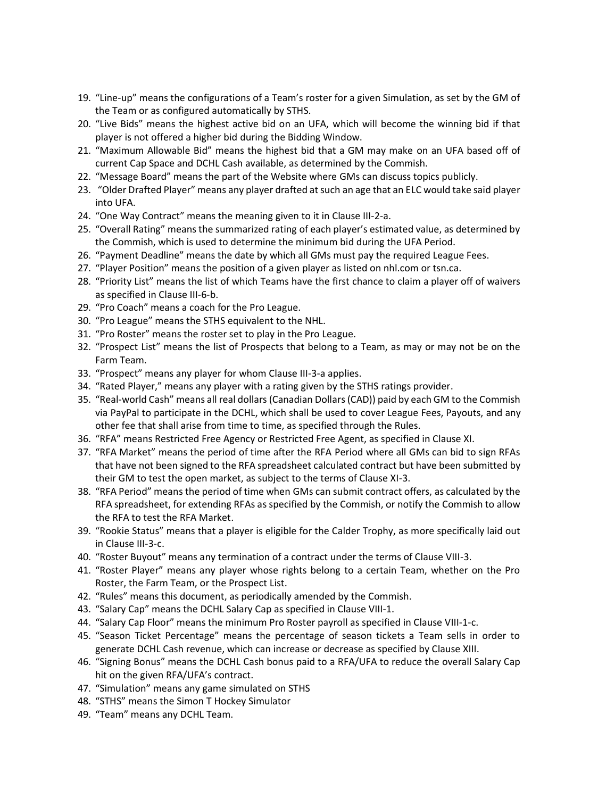- 19. "Line-up" means the configurations of a Team's roster for a given Simulation, as set by the GM of the Team or as configured automatically by STHS.
- 20. "Live Bids" means the highest active bid on an UFA, which will become the winning bid if that player is not offered a higher bid during the Bidding Window.
- 21. "Maximum Allowable Bid" means the highest bid that a GM may make on an UFA based off of current Cap Space and DCHL Cash available, as determined by the Commish.
- 22. "Message Board" means the part of the Website where GMs can discuss topics publicly.
- 23. "Older Drafted Player" means any player drafted at such an age that an ELC would take said player into UFA.
- 24. "One Way Contract" means the meaning given to it in Clause III-2-a.
- 25. "Overall Rating" means the summarized rating of each player's estimated value, as determined by the Commish, which is used to determine the minimum bid during the UFA Period.
- 26. "Payment Deadline" means the date by which all GMs must pay the required League Fees.
- 27. "Player Position" means the position of a given player as listed on nhl.com or tsn.ca.
- 28. "Priority List" means the list of which Teams have the first chance to claim a player off of waivers as specified in Clause III-6-b.
- 29. "Pro Coach" means a coach for the Pro League.
- 30. "Pro League" means the STHS equivalent to the NHL.
- 31. "Pro Roster" means the roster set to play in the Pro League.
- 32. "Prospect List" means the list of Prospects that belong to a Team, as may or may not be on the Farm Team.
- 33. "Prospect" means any player for whom Clause III-3-a applies.
- 34. "Rated Player," means any player with a rating given by the STHS ratings provider.
- 35. "Real-world Cash" means all real dollars (Canadian Dollars (CAD)) paid by each GM to the Commish via PayPal to participate in the DCHL, which shall be used to cover League Fees, Payouts, and any other fee that shall arise from time to time, as specified through the Rules.
- 36. "RFA" means Restricted Free Agency or Restricted Free Agent, as specified in Clause XI.
- 37. "RFA Market" means the period of time after the RFA Period where all GMs can bid to sign RFAs that have not been signed to the RFA spreadsheet calculated contract but have been submitted by their GM to test the open market, as subject to the terms of Clause XI-3.
- 38. "RFA Period" means the period of time when GMs can submit contract offers, as calculated by the RFA spreadsheet, for extending RFAs as specified by the Commish, or notify the Commish to allow the RFA to test the RFA Market.
- 39. "Rookie Status" means that a player is eligible for the Calder Trophy, as more specifically laid out in Clause III-3-c.
- 40. "Roster Buyout" means any termination of a contract under the terms of Clause VIII-3.
- 41. "Roster Player" means any player whose rights belong to a certain Team, whether on the Pro Roster, the Farm Team, or the Prospect List.
- 42. "Rules" means this document, as periodically amended by the Commish.
- 43. "Salary Cap" means the DCHL Salary Cap as specified in Clause VIII-1.
- 44. "Salary Cap Floor" means the minimum Pro Roster payroll as specified in Clause VIII-1-c.
- 45. "Season Ticket Percentage" means the percentage of season tickets a Team sells in order to generate DCHL Cash revenue, which can increase or decrease as specified by Clause XIII.
- 46. "Signing Bonus" means the DCHL Cash bonus paid to a RFA/UFA to reduce the overall Salary Cap hit on the given RFA/UFA's contract.
- 47. "Simulation" means any game simulated on STHS
- 48. "STHS" means the Simon T Hockey Simulator
- 49. "Team" means any DCHL Team.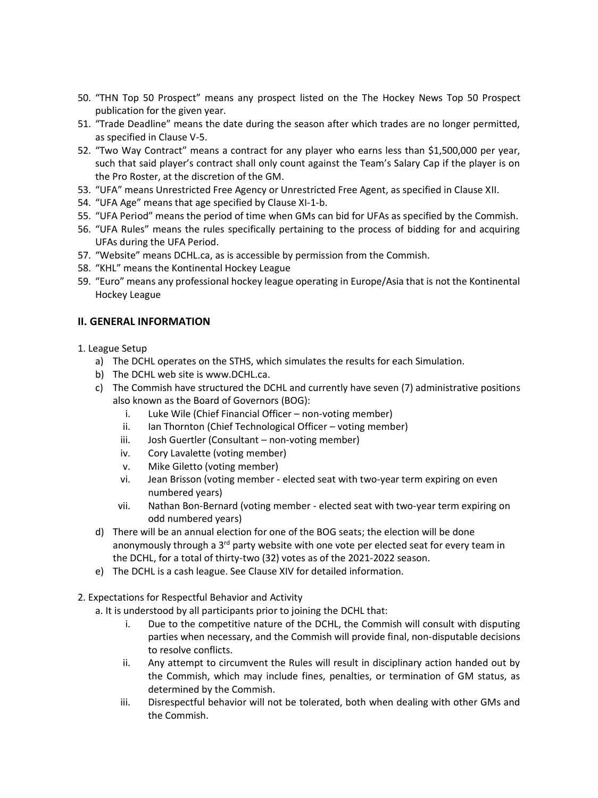- 50. "THN Top 50 Prospect" means any prospect listed on the The Hockey News Top 50 Prospect publication for the given year.
- 51. "Trade Deadline" means the date during the season after which trades are no longer permitted, as specified in Clause V-5.
- 52. "Two Way Contract" means a contract for any player who earns less than \$1,500,000 per year, such that said player's contract shall only count against the Team's Salary Cap if the player is on the Pro Roster, at the discretion of the GM.
- 53. "UFA" means Unrestricted Free Agency or Unrestricted Free Agent, as specified in Clause XII.
- 54. "UFA Age" means that age specified by Clause XI-1-b.
- 55. "UFA Period" means the period of time when GMs can bid for UFAs as specified by the Commish.
- 56. "UFA Rules" means the rules specifically pertaining to the process of bidding for and acquiring UFAs during the UFA Period.
- 57. "Website" means DCHL.ca, as is accessible by permission from the Commish.
- 58. "KHL" means the Kontinental Hockey League
- 59. "Euro" means any professional hockey league operating in Europe/Asia that is not the Kontinental Hockey League

### **II. GENERAL INFORMATION**

- 1. League Setup
	- a) The DCHL operates on the STHS, which simulates the results for each Simulation.
	- b) The DCHL web site is www.DCHL.ca.
	- c) The Commish have structured the DCHL and currently have seven (7) administrative positions also known as the Board of Governors (BOG):
		- i. Luke Wile (Chief Financial Officer non-voting member)
		- ii. Ian Thornton (Chief Technological Officer voting member)
		- iii. Josh Guertler (Consultant non-voting member)
		- iv. Cory Lavalette (voting member)
		- v. Mike Giletto (voting member)
		- vi. Jean Brisson (voting member elected seat with two-year term expiring on even numbered years)
		- vii. Nathan Bon-Bernard (voting member elected seat with two-year term expiring on odd numbered years)
	- d) There will be an annual election for one of the BOG seats; the election will be done anonymously through a 3<sup>rd</sup> party website with one vote per elected seat for every team in the DCHL, for a total of thirty-two (32) votes as of the 2021-2022 season.
	- e) The DCHL is a cash league. See Clause XIV for detailed information.
- 2. Expectations for Respectful Behavior and Activity
	- a. It is understood by all participants prior to joining the DCHL that:
		- i. Due to the competitive nature of the DCHL, the Commish will consult with disputing parties when necessary, and the Commish will provide final, non-disputable decisions to resolve conflicts.
		- ii. Any attempt to circumvent the Rules will result in disciplinary action handed out by the Commish, which may include fines, penalties, or termination of GM status, as determined by the Commish.
		- iii. Disrespectful behavior will not be tolerated, both when dealing with other GMs and the Commish.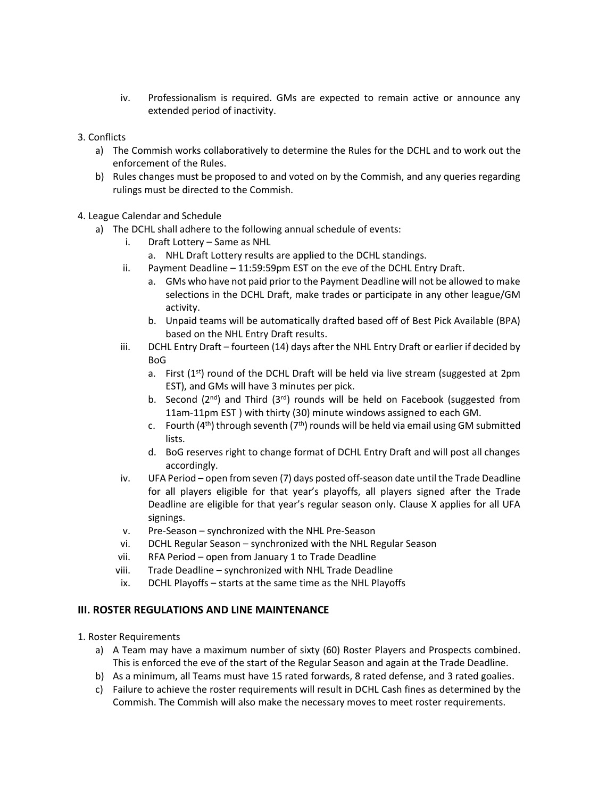- iv. Professionalism is required. GMs are expected to remain active or announce any extended period of inactivity.
- 3. Conflicts
	- a) The Commish works collaboratively to determine the Rules for the DCHL and to work out the enforcement of the Rules.
	- b) Rules changes must be proposed to and voted on by the Commish, and any queries regarding rulings must be directed to the Commish.
- 4. League Calendar and Schedule
	- a) The DCHL shall adhere to the following annual schedule of events:
		- i. Draft Lottery Same as NHL
			- a. NHL Draft Lottery results are applied to the DCHL standings.
			- ii. Payment Deadline 11:59:59pm EST on the eve of the DCHL Entry Draft.
				- a. GMs who have not paid prior to the Payment Deadline will not be allowed to make selections in the DCHL Draft, make trades or participate in any other league/GM activity.
				- b. Unpaid teams will be automatically drafted based off of Best Pick Available (BPA) based on the NHL Entry Draft results.
		- iii. DCHL Entry Draft fourteen (14) days after the NHL Entry Draft or earlier if decided by BoG
			- a. First  $(1<sup>st</sup>)$  round of the DCHL Draft will be held via live stream (suggested at 2pm EST), and GMs will have 3 minutes per pick.
			- b. Second ( $2<sup>nd</sup>$ ) and Third ( $3<sup>rd</sup>$ ) rounds will be held on Facebook (suggested from 11am-11pm EST ) with thirty (30) minute windows assigned to each GM.
			- c. Fourth  $(4^{th})$  through seventh  $(7^{th})$  rounds will be held via email using GM submitted lists.
			- d. BoG reserves right to change format of DCHL Entry Draft and will post all changes accordingly.
		- iv. UFA Period open from seven (7) days posted off-season date until the Trade Deadline for all players eligible for that year's playoffs, all players signed after the Trade Deadline are eligible for that year's regular season only. Clause X applies for all UFA signings.
		- v. Pre-Season synchronized with the NHL Pre-Season
		- vi. DCHL Regular Season synchronized with the NHL Regular Season
		- vii. RFA Period open from January 1 to Trade Deadline
		- viii. Trade Deadline synchronized with NHL Trade Deadline
		- ix. DCHL Playoffs starts at the same time as the NHL Playoffs

## **III. ROSTER REGULATIONS AND LINE MAINTENANCE**

- 1. Roster Requirements
	- a) A Team may have a maximum number of sixty (60) Roster Players and Prospects combined. This is enforced the eve of the start of the Regular Season and again at the Trade Deadline.
	- b) As a minimum, all Teams must have 15 rated forwards, 8 rated defense, and 3 rated goalies.
	- c) Failure to achieve the roster requirements will result in DCHL Cash fines as determined by the Commish. The Commish will also make the necessary moves to meet roster requirements.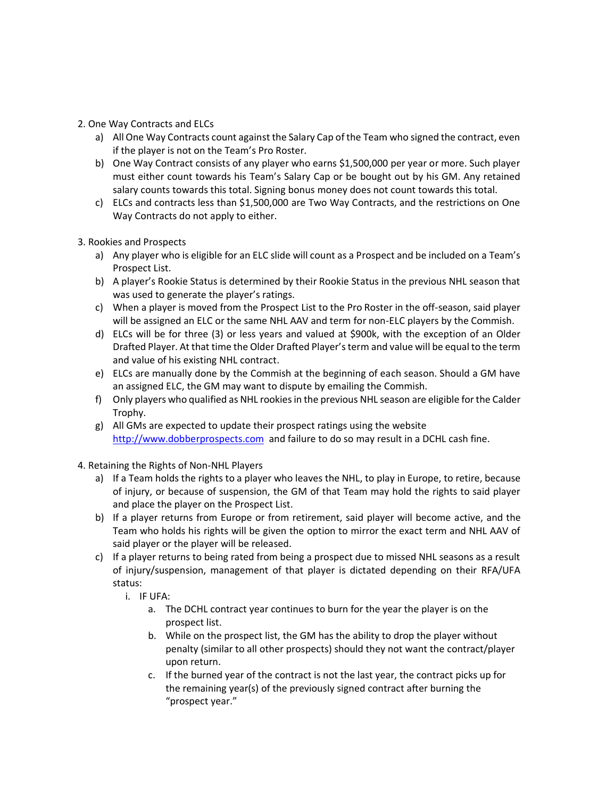### 2. One Way Contracts and ELCs

- a) All One Way Contracts count against the Salary Cap of the Team who signed the contract, even if the player is not on the Team's Pro Roster.
- b) One Way Contract consists of any player who earns \$1,500,000 per year or more. Such player must either count towards his Team's Salary Cap or be bought out by his GM. Any retained salary counts towards this total. Signing bonus money does not count towards this total.
- c) ELCs and contracts less than \$1,500,000 are Two Way Contracts, and the restrictions on One Way Contracts do not apply to either.
- 3. Rookies and Prospects
	- a) Any player who is eligible for an ELC slide will count as a Prospect and be included on a Team's Prospect List.
	- b) A player's Rookie Status is determined by their Rookie Status in the previous NHL season that was used to generate the player's ratings.
	- c) When a player is moved from the Prospect List to the Pro Roster in the off-season, said player will be assigned an ELC or the same NHL AAV and term for non-ELC players by the Commish.
	- d) ELCs will be for three (3) or less years and valued at \$900k, with the exception of an Older Drafted Player. At that time the Older Drafted Player's term and value will be equal to the term and value of his existing NHL contract.
	- e) ELCs are manually done by the Commish at the beginning of each season. Should a GM have an assigned ELC, the GM may want to dispute by emailing the Commish.
	- f) Only players who qualified as NHL rookies in the previous NHL season are eligible for the Calder Trophy.
	- g) All GMs are expected to update their prospect ratings using the website [http://www.dobberprospects.com](http://www.dobberprospects.com/) and failure to do so may result in a DCHL cash fine.
- 4. Retaining the Rights of Non-NHL Players
	- a) If a Team holds the rights to a player who leaves the NHL, to play in Europe, to retire, because of injury, or because of suspension, the GM of that Team may hold the rights to said player and place the player on the Prospect List.
	- b) If a player returns from Europe or from retirement, said player will become active, and the Team who holds his rights will be given the option to mirror the exact term and NHL AAV of said player or the player will be released.
	- c) If a player returns to being rated from being a prospect due to missed NHL seasons as a result of injury/suspension, management of that player is dictated depending on their RFA/UFA status:
		- i. IF UFA:
			- a. The DCHL contract year continues to burn for the year the player is on the prospect list.
			- b. While on the prospect list, the GM has the ability to drop the player without penalty (similar to all other prospects) should they not want the contract/player upon return.
			- c. If the burned year of the contract is not the last year, the contract picks up for the remaining year(s) of the previously signed contract after burning the "prospect year."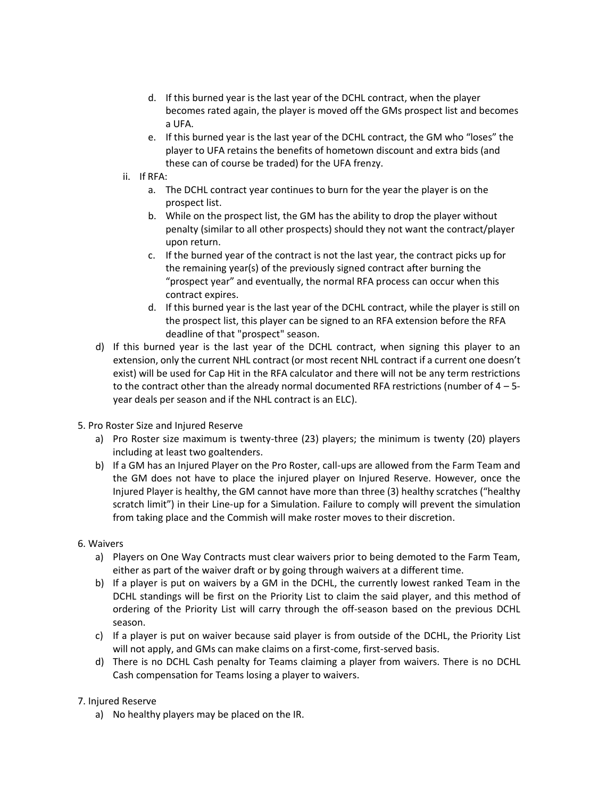- d. If this burned year is the last year of the DCHL contract, when the player becomes rated again, the player is moved off the GMs prospect list and becomes a UFA.
- e. If this burned year is the last year of the DCHL contract, the GM who "loses" the player to UFA retains the benefits of hometown discount and extra bids (and these can of course be traded) for the UFA frenzy.
- ii. If RFA:
	- a. The DCHL contract year continues to burn for the year the player is on the prospect list.
	- b. While on the prospect list, the GM has the ability to drop the player without penalty (similar to all other prospects) should they not want the contract/player upon return.
	- c. If the burned year of the contract is not the last year, the contract picks up for the remaining year(s) of the previously signed contract after burning the "prospect year" and eventually, the normal RFA process can occur when this contract expires.
	- d. If this burned year is the last year of the DCHL contract, while the player is still on the prospect list, this player can be signed to an RFA extension before the RFA deadline of that "prospect" season.
- d) If this burned year is the last year of the DCHL contract, when signing this player to an extension, only the current NHL contract (or most recent NHL contract if a current one doesn't exist) will be used for Cap Hit in the RFA calculator and there will not be any term restrictions to the contract other than the already normal documented RFA restrictions (number of 4 – 5 year deals per season and if the NHL contract is an ELC).
- 5. Pro Roster Size and Injured Reserve
	- a) Pro Roster size maximum is twenty-three (23) players; the minimum is twenty (20) players including at least two goaltenders.
	- b) If a GM has an Injured Player on the Pro Roster, call-ups are allowed from the Farm Team and the GM does not have to place the injured player on Injured Reserve. However, once the Injured Player is healthy, the GM cannot have more than three (3) healthy scratches ("healthy scratch limit") in their Line-up for a Simulation. Failure to comply will prevent the simulation from taking place and the Commish will make roster moves to their discretion.

### 6. Waivers

- a) Players on One Way Contracts must clear waivers prior to being demoted to the Farm Team, either as part of the waiver draft or by going through waivers at a different time.
- b) If a player is put on waivers by a GM in the DCHL, the currently lowest ranked Team in the DCHL standings will be first on the Priority List to claim the said player, and this method of ordering of the Priority List will carry through the off-season based on the previous DCHL season.
- c) If a player is put on waiver because said player is from outside of the DCHL, the Priority List will not apply, and GMs can make claims on a first-come, first-served basis.
- d) There is no DCHL Cash penalty for Teams claiming a player from waivers. There is no DCHL Cash compensation for Teams losing a player to waivers.

### 7. Injured Reserve

a) No healthy players may be placed on the IR.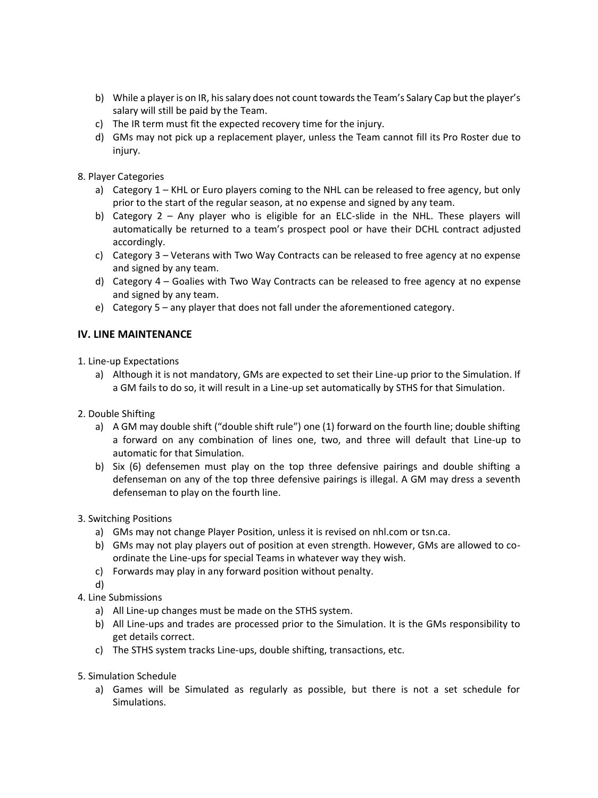- b) While a player is on IR, his salary does not count towards the Team's Salary Cap but the player's salary will still be paid by the Team.
- c) The IR term must fit the expected recovery time for the injury.
- d) GMs may not pick up a replacement player, unless the Team cannot fill its Pro Roster due to injury.
- 8. Player Categories
	- a) Category 1 KHL or Euro players coming to the NHL can be released to free agency, but only prior to the start of the regular season, at no expense and signed by any team.
	- b) Category 2 Any player who is eligible for an ELC-slide in the NHL. These players will automatically be returned to a team's prospect pool or have their DCHL contract adjusted accordingly.
	- c) Category 3 Veterans with Two Way Contracts can be released to free agency at no expense and signed by any team.
	- d) Category 4 Goalies with Two Way Contracts can be released to free agency at no expense and signed by any team.
	- e) Category 5 any player that does not fall under the aforementioned category.

## **IV. LINE MAINTENANCE**

- 1. Line-up Expectations
	- a) Although it is not mandatory, GMs are expected to set their Line-up prior to the Simulation. If a GM fails to do so, it will result in a Line-up set automatically by STHS for that Simulation.
- 2. Double Shifting
	- a) A GM may double shift ("double shift rule") one (1) forward on the fourth line; double shifting a forward on any combination of lines one, two, and three will default that Line-up to automatic for that Simulation.
	- b) Six (6) defensemen must play on the top three defensive pairings and double shifting a defenseman on any of the top three defensive pairings is illegal. A GM may dress a seventh defenseman to play on the fourth line.
- 3. Switching Positions
	- a) GMs may not change Player Position, unless it is revised on nhl.com or tsn.ca.
	- b) GMs may not play players out of position at even strength. However, GMs are allowed to coordinate the Line-ups for special Teams in whatever way they wish.
	- c) Forwards may play in any forward position without penalty.
	- d)
- 4. Line Submissions
	- a) All Line-up changes must be made on the STHS system.
	- b) All Line-ups and trades are processed prior to the Simulation. It is the GMs responsibility to get details correct.
	- c) The STHS system tracks Line-ups, double shifting, transactions, etc.
- 5. Simulation Schedule
	- a) Games will be Simulated as regularly as possible, but there is not a set schedule for Simulations.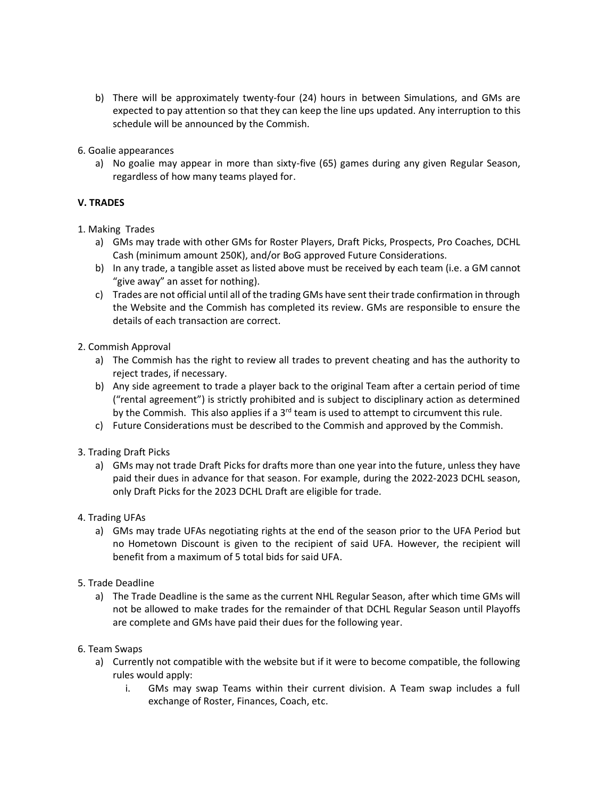- b) There will be approximately twenty-four (24) hours in between Simulations, and GMs are expected to pay attention so that they can keep the line ups updated. Any interruption to this schedule will be announced by the Commish.
- 6. Goalie appearances
	- a) No goalie may appear in more than sixty-five (65) games during any given Regular Season, regardless of how many teams played for.

## **V. TRADES**

- 1. Making Trades
	- a) GMs may trade with other GMs for Roster Players, Draft Picks, Prospects, Pro Coaches, DCHL Cash (minimum amount 250K), and/or BoG approved Future Considerations.
	- b) In any trade, a tangible asset as listed above must be received by each team (i.e. a GM cannot "give away" an asset for nothing).
	- c) Trades are not official until all of the trading GMs have sent their trade confirmation in through the Website and the Commish has completed its review. GMs are responsible to ensure the details of each transaction are correct.
- 2. Commish Approval
	- a) The Commish has the right to review all trades to prevent cheating and has the authority to reject trades, if necessary.
	- b) Any side agreement to trade a player back to the original Team after a certain period of time ("rental agreement") is strictly prohibited and is subject to disciplinary action as determined by the Commish. This also applies if a  $3<sup>rd</sup>$  team is used to attempt to circumvent this rule.
	- c) Future Considerations must be described to the Commish and approved by the Commish.
- 3. Trading Draft Picks
	- a) GMs may not trade Draft Picks for drafts more than one year into the future, unless they have paid their dues in advance for that season. For example, during the 2022-2023 DCHL season, only Draft Picks for the 2023 DCHL Draft are eligible for trade.
- 4. Trading UFAs
	- a) GMs may trade UFAs negotiating rights at the end of the season prior to the UFA Period but no Hometown Discount is given to the recipient of said UFA. However, the recipient will benefit from a maximum of 5 total bids for said UFA.
- 5. Trade Deadline
	- a) The Trade Deadline is the same as the current NHL Regular Season, after which time GMs will not be allowed to make trades for the remainder of that DCHL Regular Season until Playoffs are complete and GMs have paid their dues for the following year.
- 6. Team Swaps
	- a) Currently not compatible with the website but if it were to become compatible, the following rules would apply:
		- i. GMs may swap Teams within their current division. A Team swap includes a full exchange of Roster, Finances, Coach, etc.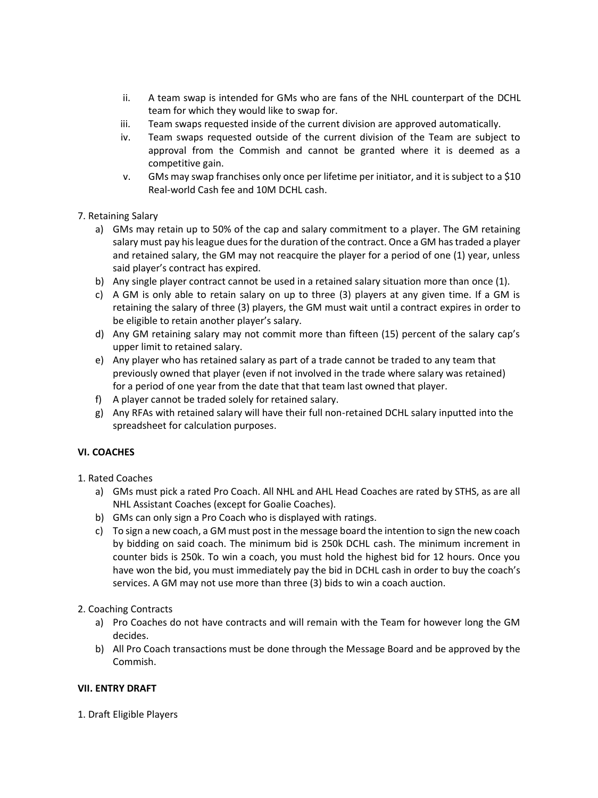- ii. A team swap is intended for GMs who are fans of the NHL counterpart of the DCHL team for which they would like to swap for.
- iii. Team swaps requested inside of the current division are approved automatically.
- iv. Team swaps requested outside of the current division of the Team are subject to approval from the Commish and cannot be granted where it is deemed as a competitive gain.
- v. GMs may swap franchises only once per lifetime per initiator, and it is subject to a \$10 Real-world Cash fee and 10M DCHL cash.
- 7. Retaining Salary
	- a) GMs may retain up to 50% of the cap and salary commitment to a player. The GM retaining salary must pay his league dues for the duration of the contract. Once a GM has traded a player and retained salary, the GM may not reacquire the player for a period of one (1) year, unless said player's contract has expired.
	- b) Any single player contract cannot be used in a retained salary situation more than once (1).
	- c) A GM is only able to retain salary on up to three (3) players at any given time. If a GM is retaining the salary of three (3) players, the GM must wait until a contract expires in order to be eligible to retain another player's salary.
	- d) Any GM retaining salary may not commit more than fifteen (15) percent of the salary cap's upper limit to retained salary.
	- e) Any player who has retained salary as part of a trade cannot be traded to any team that previously owned that player (even if not involved in the trade where salary was retained) for a period of one year from the date that that team last owned that player.
	- f) A player cannot be traded solely for retained salary.
	- g) Any RFAs with retained salary will have their full non-retained DCHL salary inputted into the spreadsheet for calculation purposes.

## **VI. COACHES**

- 1. Rated Coaches
	- a) GMs must pick a rated Pro Coach. All NHL and AHL Head Coaches are rated by STHS, as are all NHL Assistant Coaches (except for Goalie Coaches).
	- b) GMs can only sign a Pro Coach who is displayed with ratings.
	- c) To sign a new coach, a GM must post in the message board the intention to sign the new coach by bidding on said coach. The minimum bid is 250k DCHL cash. The minimum increment in counter bids is 250k. To win a coach, you must hold the highest bid for 12 hours. Once you have won the bid, you must immediately pay the bid in DCHL cash in order to buy the coach's services. A GM may not use more than three (3) bids to win a coach auction.
- 2. Coaching Contracts
	- a) Pro Coaches do not have contracts and will remain with the Team for however long the GM decides.
	- b) All Pro Coach transactions must be done through the Message Board and be approved by the Commish.

### **VII. ENTRY DRAFT**

1. Draft Eligible Players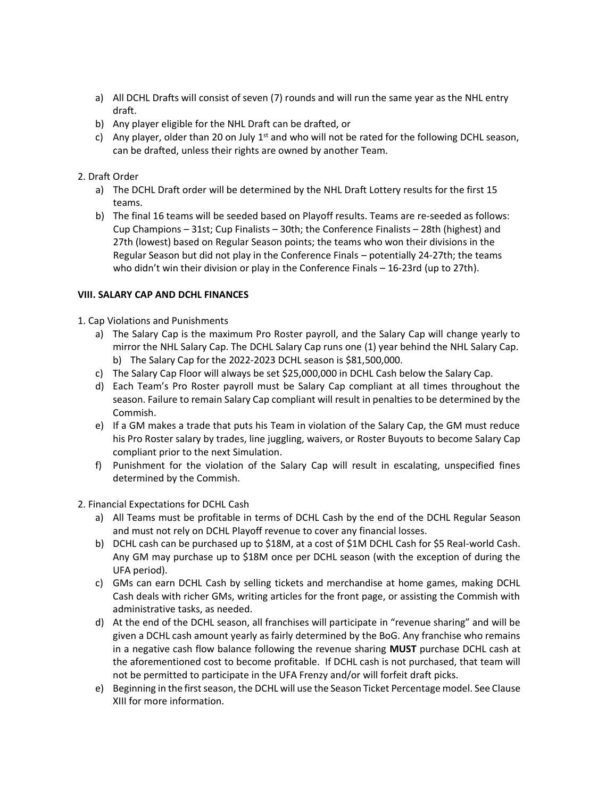- a) All DCHL Drafts will consist of seven (7) rounds and will run the same year as the NHL entry draft.
- b) Any player eligible for the NHL Draft can be drafted, or
- c) Any player, older than 20 on July  $1<sup>st</sup>$  and who will not be rated for the following DCHL season, can be drafted, unless their rights are owned by another Team.

## 2. Draft Order

- a) The DCHL Draft order will be determined by the NHL Draft Lottery results for the first 15 teams.
- b) The final 16 teams will be seeded based on Playoff results. Teams are re-seeded as follows: Cup Champions – 31st; Cup Finalists – 30th; the Conference Finalists – 28th (highest) and 27th (lowest) based on Regular Season points; the teams who won their divisions in the Regular Season but did not play in the Conference Finals – potentially 24-27th; the teams who didn't win their division or play in the Conference Finals – 16-23rd (up to 27th).

## **VIII. SALARY CAP AND DCHL FINANCES**

- 1. Cap Violations and Punishments
	- a) The Salary Cap is the maximum Pro Roster payroll, and the Salary Cap will change yearly to mirror the NHL Salary Cap. The DCHL Salary Cap runs one (1) year behind the NHL Salary Cap. b) The Salary Cap for the 2022-2023 DCHL season is \$81,500,000.
	- c) The Salary Cap Floor will always be set \$25,000,000 in DCHL Cash below the Salary Cap.
	- d) Each Team's Pro Roster payroll must be Salary Cap compliant at all times throughout the season. Failure to remain Salary Cap compliant will result in penalties to be determined by the Commish.
	- e) If a GM makes a trade that puts his Team in violation of the Salary Cap, the GM must reduce his Pro Roster salary by trades, line juggling, waivers, or Roster Buyouts to become Salary Cap compliant prior to the next Simulation.
	- f) Punishment for the violation of the Salary Cap will result in escalating, unspecified fines determined by the Commish.
- 2. Financial Expectations for DCHL Cash
	- a) All Teams must be profitable in terms of DCHL Cash by the end of the DCHL Regular Season and must not rely on DCHL Playoff revenue to cover any financial losses.
	- b) DCHL cash can be purchased up to \$18M, at a cost of \$1M DCHL Cash for \$5 Real-world Cash. Any GM may purchase up to \$18M once per DCHL season (with the exception of during the UFA period).
	- c) GMs can earn DCHL Cash by selling tickets and merchandise at home games, making DCHL Cash deals with richer GMs, writing articles for the front page, or assisting the Commish with administrative tasks, as needed.
	- d) At the end of the DCHL season, all franchises will participate in "revenue sharing" and will be given a DCHL cash amount yearly as fairly determined by the BoG. Any franchise who remains in a negative cash flow balance following the revenue sharing **MUST** purchase DCHL cash at the aforementioned cost to become profitable. If DCHL cash is not purchased, that team will not be permitted to participate in the UFA Frenzy and/or will forfeit draft picks.
	- e) Beginning in the first season, the DCHL will use the Season Ticket Percentage model. See Clause XIII for more information.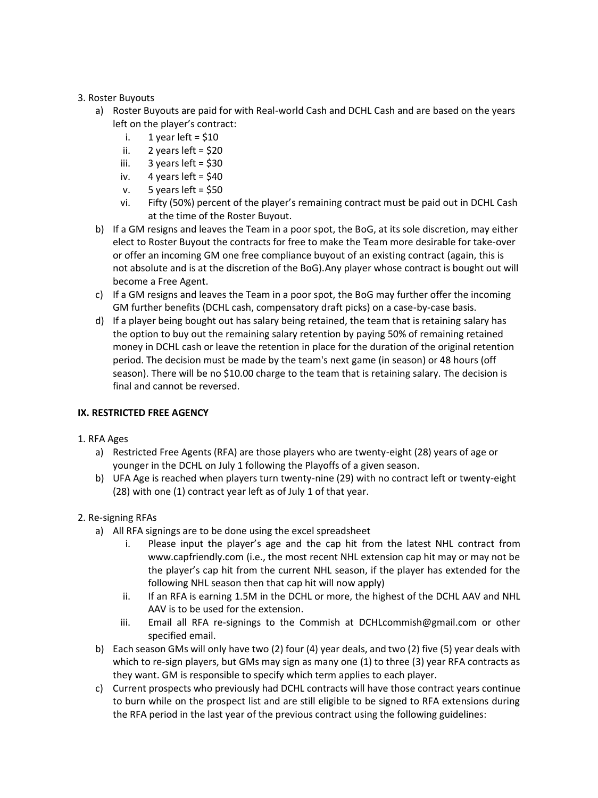## 3. Roster Buyouts

- a) Roster Buyouts are paid for with Real-world Cash and DCHL Cash and are based on the years left on the player's contract:
	- i.  $1$  year left = \$10
	- ii.  $2$  years left = \$20
	- iii.  $3$  years left = \$30
	- iv.  $4$  years left = \$40
	- v.  $5$  years left = \$50
	- vi. Fifty (50%) percent of the player's remaining contract must be paid out in DCHL Cash at the time of the Roster Buyout.
- b) If a GM resigns and leaves the Team in a poor spot, the BoG, at its sole discretion, may either elect to Roster Buyout the contracts for free to make the Team more desirable for take-over or offer an incoming GM one free compliance buyout of an existing contract (again, this is not absolute and is at the discretion of the BoG).Any player whose contract is bought out will become a Free Agent.
- c) If a GM resigns and leaves the Team in a poor spot, the BoG may further offer the incoming GM further benefits (DCHL cash, compensatory draft picks) on a case-by-case basis.
- d) If a player being bought out has salary being retained, the team that is retaining salary has the option to buy out the remaining salary retention by paying 50% of remaining retained money in DCHL cash or leave the retention in place for the duration of the original retention period. The decision must be made by the team's next game (in season) or 48 hours (off season). There will be no \$10.00 charge to the team that is retaining salary. The decision is final and cannot be reversed.

### **IX. RESTRICTED FREE AGENCY**

## 1. RFA Ages

- a) Restricted Free Agents (RFA) are those players who are twenty-eight (28) years of age or younger in the DCHL on July 1 following the Playoffs of a given season.
- b) UFA Age is reached when players turn twenty-nine (29) with no contract left or twenty-eight (28) with one (1) contract year left as of July 1 of that year.

## 2. Re-signing RFAs

- a) All RFA signings are to be done using the excel spreadsheet
	- i. Please input the player's age and the cap hit from the latest NHL contract from www.capfriendly.com (i.e., the most recent NHL extension cap hit may or may not be the player's cap hit from the current NHL season, if the player has extended for the following NHL season then that cap hit will now apply)
	- ii. If an RFA is earning 1.5M in the DCHL or more, the highest of the DCHL AAV and NHL AAV is to be used for the extension.
	- iii. Email all RFA re-signings to the Commish at DCHLcommish@gmail.com or other specified email.
- b) Each season GMs will only have two (2) four (4) year deals, and two (2) five (5) year deals with which to re-sign players, but GMs may sign as many one (1) to three (3) year RFA contracts as they want. GM is responsible to specify which term applies to each player.
- c) Current prospects who previously had DCHL contracts will have those contract years continue to burn while on the prospect list and are still eligible to be signed to RFA extensions during the RFA period in the last year of the previous contract using the following guidelines: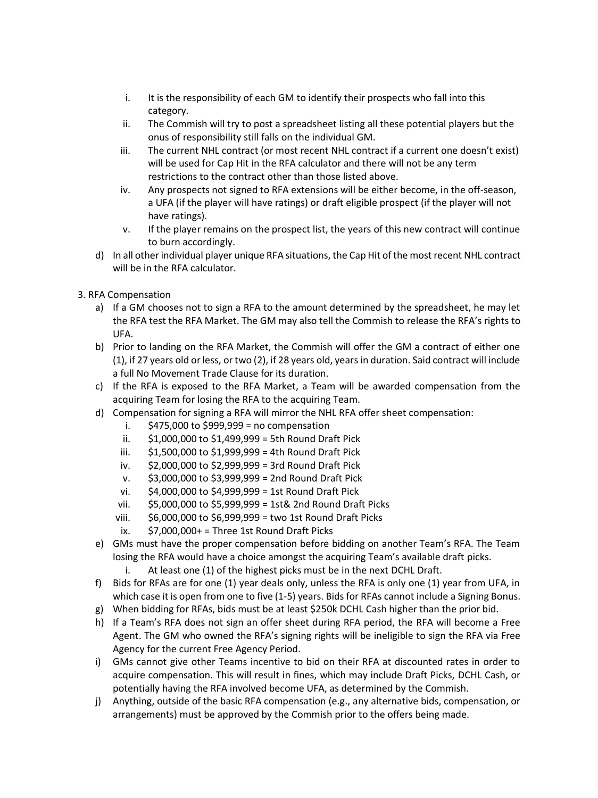- i. It is the responsibility of each GM to identify their prospects who fall into this category.
- ii. The Commish will try to post a spreadsheet listing all these potential players but the onus of responsibility still falls on the individual GM.
- iii. The current NHL contract (or most recent NHL contract if a current one doesn't exist) will be used for Cap Hit in the RFA calculator and there will not be any term restrictions to the contract other than those listed above.
- iv. Any prospects not signed to RFA extensions will be either become, in the off-season, a UFA (if the player will have ratings) or draft eligible prospect (if the player will not have ratings).
- v. If the player remains on the prospect list, the years of this new contract will continue to burn accordingly.
- d) In all other individual player unique RFA situations, the Cap Hit of the most recent NHL contract will be in the RFA calculator.
- 3. RFA Compensation
	- a) If a GM chooses not to sign a RFA to the amount determined by the spreadsheet, he may let the RFA test the RFA Market. The GM may also tell the Commish to release the RFA's rights to UFA.
	- b) Prior to landing on the RFA Market, the Commish will offer the GM a contract of either one (1), if 27 years old or less, or two (2), if 28 years old, years in duration. Said contract will include a full No Movement Trade Clause for its duration.
	- c) If the RFA is exposed to the RFA Market, a Team will be awarded compensation from the acquiring Team for losing the RFA to the acquiring Team.
	- d) Compensation for signing a RFA will mirror the NHL RFA offer sheet compensation:
		- i.  $$475,000$  to  $$999,999$  = no compensation
		- ii. \$1,000,000 to \$1,499,999 = 5th Round Draft Pick
		- iii. \$1,500,000 to \$1,999,999 = 4th Round Draft Pick
		- iv. \$2,000,000 to \$2,999,999 = 3rd Round Draft Pick
		- v. \$3,000,000 to \$3,999,999 = 2nd Round Draft Pick
		- vi. \$4,000,000 to \$4,999,999 = 1st Round Draft Pick
		- vii. \$5,000,000 to \$5,999,999 = 1st& 2nd Round Draft Picks
		- viii. \$6,000,000 to \$6,999,999 = two 1st Round Draft Picks
		- ix.  $$7,000,000+ =$  Three 1st Round Draft Picks
	- e) GMs must have the proper compensation before bidding on another Team's RFA. The Team losing the RFA would have a choice amongst the acquiring Team's available draft picks.
		- i. At least one (1) of the highest picks must be in the next DCHL Draft.
	- f) Bids for RFAs are for one (1) year deals only, unless the RFA is only one (1) year from UFA, in which case it is open from one to five (1-5) years. Bids for RFAs cannot include a Signing Bonus.
	- g) When bidding for RFAs, bids must be at least \$250k DCHL Cash higher than the prior bid.
	- h) If a Team's RFA does not sign an offer sheet during RFA period, the RFA will become a Free Agent. The GM who owned the RFA's signing rights will be ineligible to sign the RFA via Free Agency for the current Free Agency Period.
	- i) GMs cannot give other Teams incentive to bid on their RFA at discounted rates in order to acquire compensation. This will result in fines, which may include Draft Picks, DCHL Cash, or potentially having the RFA involved become UFA, as determined by the Commish.
	- j) Anything, outside of the basic RFA compensation (e.g., any alternative bids, compensation, or arrangements) must be approved by the Commish prior to the offers being made.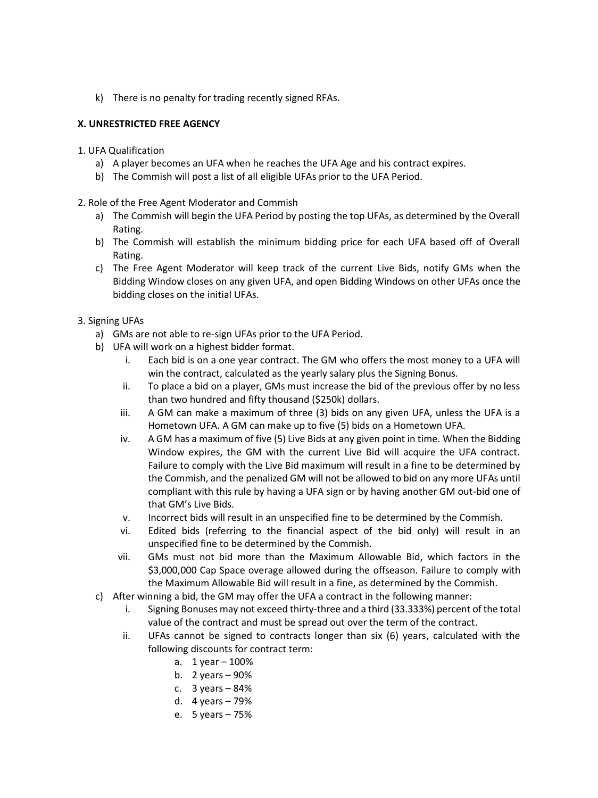k) There is no penalty for trading recently signed RFAs.

## **X. UNRESTRICTED FREE AGENCY**

- 1. UFA Qualification
	- a) A player becomes an UFA when he reaches the UFA Age and his contract expires.
	- b) The Commish will post a list of all eligible UFAs prior to the UFA Period.

### 2. Role of the Free Agent Moderator and Commish

- a) The Commish will begin the UFA Period by posting the top UFAs, as determined by the Overall Rating.
- b) The Commish will establish the minimum bidding price for each UFA based off of Overall Rating.
- c) The Free Agent Moderator will keep track of the current Live Bids, notify GMs when the Bidding Window closes on any given UFA, and open Bidding Windows on other UFAs once the bidding closes on the initial UFAs.
- 3. Signing UFAs
	- a) GMs are not able to re-sign UFAs prior to the UFA Period.
	- b) UFA will work on a highest bidder format.
		- i. Each bid is on a one year contract. The GM who offers the most money to a UFA will win the contract, calculated as the yearly salary plus the Signing Bonus.
		- ii. To place a bid on a player, GMs must increase the bid of the previous offer by no less than two hundred and fifty thousand (\$250k) dollars.
		- iii. A GM can make a maximum of three (3) bids on any given UFA, unless the UFA is a Hometown UFA. A GM can make up to five (5) bids on a Hometown UFA.
		- iv. A GM has a maximum of five (5) Live Bids at any given point in time. When the Bidding Window expires, the GM with the current Live Bid will acquire the UFA contract. Failure to comply with the Live Bid maximum will result in a fine to be determined by the Commish, and the penalized GM will not be allowed to bid on any more UFAs until compliant with this rule by having a UFA sign or by having another GM out-bid one of that GM's Live Bids.
		- v. Incorrect bids will result in an unspecified fine to be determined by the Commish.
		- vi. Edited bids (referring to the financial aspect of the bid only) will result in an unspecified fine to be determined by the Commish.
		- vii. GMs must not bid more than the Maximum Allowable Bid, which factors in the \$3,000,000 Cap Space overage allowed during the offseason. Failure to comply with the Maximum Allowable Bid will result in a fine, as determined by the Commish.
	- c) After winning a bid, the GM may offer the UFA a contract in the following manner:
		- i. Signing Bonuses may not exceed thirty-three and a third (33.333%) percent of the total value of the contract and must be spread out over the term of the contract.
		- ii. UFAs cannot be signed to contracts longer than six (6) years, calculated with the following discounts for contract term:
			- a. 1 year 100%
			- b. 2 years 90%
			- c.  $3 \text{ years} 84\%$
			- d. 4 years 79%
			- e. 5 years 75%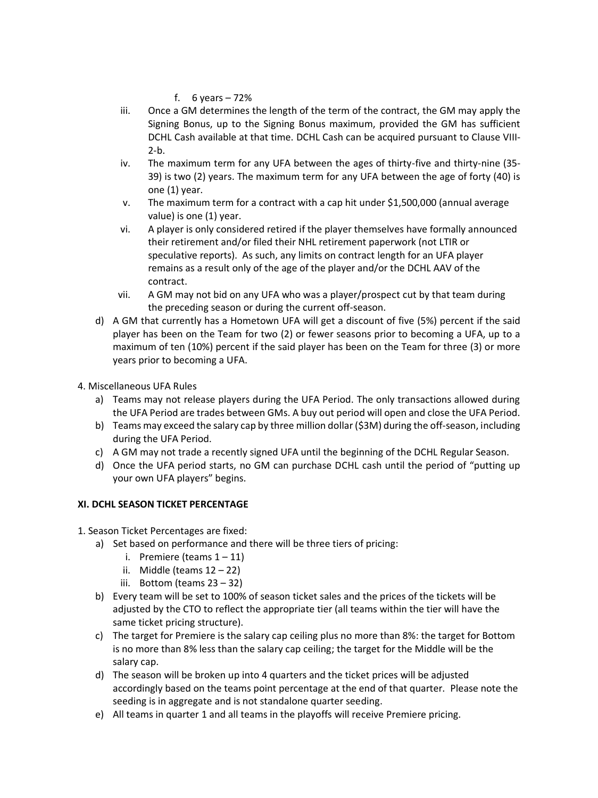f. 6 years  $-72%$ 

- iii. Once a GM determines the length of the term of the contract, the GM may apply the Signing Bonus, up to the Signing Bonus maximum, provided the GM has sufficient DCHL Cash available at that time. DCHL Cash can be acquired pursuant to Clause VIII- $2-b.$
- iv. The maximum term for any UFA between the ages of thirty-five and thirty-nine (35- 39) is two (2) years. The maximum term for any UFA between the age of forty (40) is one (1) year.
- v. The maximum term for a contract with a cap hit under \$1,500,000 (annual average value) is one (1) year.
- vi. A player is only considered retired if the player themselves have formally announced their retirement and/or filed their NHL retirement paperwork (not LTIR or speculative reports). As such, any limits on contract length for an UFA player remains as a result only of the age of the player and/or the DCHL AAV of the contract.
- vii. A GM may not bid on any UFA who was a player/prospect cut by that team during the preceding season or during the current off-season.
- d) A GM that currently has a Hometown UFA will get a discount of five (5%) percent if the said player has been on the Team for two (2) or fewer seasons prior to becoming a UFA, up to a maximum of ten (10%) percent if the said player has been on the Team for three (3) or more years prior to becoming a UFA.
- 4. Miscellaneous UFA Rules
	- a) Teams may not release players during the UFA Period. The only transactions allowed during the UFA Period are trades between GMs. A buy out period will open and close the UFA Period.
	- b) Teams may exceed the salary cap by three million dollar (\$3M) during the off-season, including during the UFA Period.
	- c) A GM may not trade a recently signed UFA until the beginning of the DCHL Regular Season.
	- d) Once the UFA period starts, no GM can purchase DCHL cash until the period of "putting up your own UFA players" begins.

### **XI. DCHL SEASON TICKET PERCENTAGE**

- 1. Season Ticket Percentages are fixed:
	- a) Set based on performance and there will be three tiers of pricing:
		- i. Premiere (teams  $1 11$ )
		- ii. Middle (teams  $12 22$ )
		- iii. Bottom (teams 23 32)
	- b) Every team will be set to 100% of season ticket sales and the prices of the tickets will be adjusted by the CTO to reflect the appropriate tier (all teams within the tier will have the same ticket pricing structure).
	- c) The target for Premiere is the salary cap ceiling plus no more than 8%: the target for Bottom is no more than 8% less than the salary cap ceiling; the target for the Middle will be the salary cap.
	- d) The season will be broken up into 4 quarters and the ticket prices will be adjusted accordingly based on the teams point percentage at the end of that quarter. Please note the seeding is in aggregate and is not standalone quarter seeding.
	- e) All teams in quarter 1 and all teams in the playoffs will receive Premiere pricing.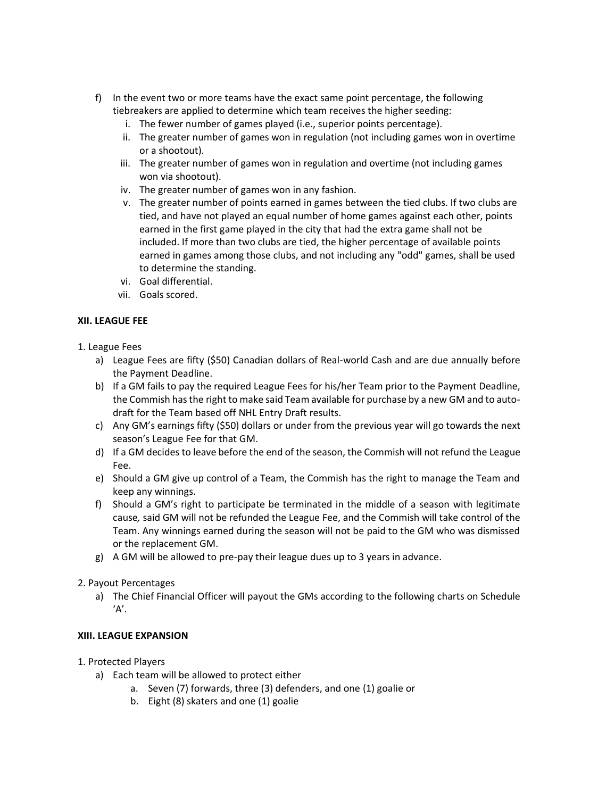- f) In the event two or more teams have the exact same point percentage, the following tiebreakers are applied to determine which team receives the higher seeding:
	- i. The fewer number of games played (i.e., superior points percentage).
	- ii. The greater number of games won in regulation (not including games won in overtime or a shootout).
	- iii. The greater number of games won in regulation and overtime (not including games won via shootout).
	- iv. The greater number of games won in any fashion.
	- v. The greater number of points earned in games between the tied clubs. If two clubs are tied, and have not played an equal number of home games against each other, points earned in the first game played in the city that had the extra game shall not be included. If more than two clubs are tied, the higher percentage of available points earned in games among those clubs, and not including any "odd" games, shall be used to determine the standing.
	- vi. Goal differential.
	- vii. Goals scored.

### **XII. LEAGUE FEE**

- 1. League Fees
	- a) League Fees are fifty (\$50) Canadian dollars of Real-world Cash and are due annually before the Payment Deadline.
	- b) If a GM fails to pay the required League Fees for his/her Team prior to the Payment Deadline, the Commish hasthe right to make said Team available for purchase by a new GM and to autodraft for the Team based off NHL Entry Draft results.
	- c) Any GM's earnings fifty (\$50) dollars or under from the previous year will go towards the next season's League Fee for that GM.
	- d) If a GM decides to leave before the end of the season, the Commish will not refund the League Fee.
	- e) Should a GM give up control of a Team, the Commish has the right to manage the Team and keep any winnings.
	- f) Should a GM's right to participate be terminated in the middle of a season with legitimate cause*,* said GM will not be refunded the League Fee, and the Commish will take control of the Team. Any winnings earned during the season will not be paid to the GM who was dismissed or the replacement GM.
	- g) A GM will be allowed to pre-pay their league dues up to 3 years in advance.

### 2. Payout Percentages

a) The Chief Financial Officer will payout the GMs according to the following charts on Schedule  $'A'.$ 

### **XIII. LEAGUE EXPANSION**

- 1. Protected Players
	- a) Each team will be allowed to protect either
		- a. Seven (7) forwards, three (3) defenders, and one (1) goalie or
		- b. Eight (8) skaters and one (1) goalie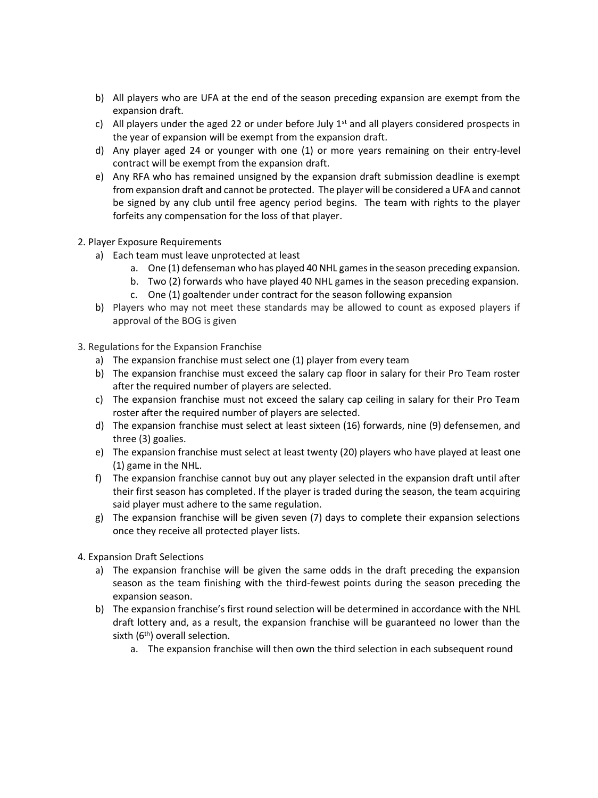- b) All players who are UFA at the end of the season preceding expansion are exempt from the expansion draft.
- c) All players under the aged 22 or under before July  $1<sup>st</sup>$  and all players considered prospects in the year of expansion will be exempt from the expansion draft.
- d) Any player aged 24 or younger with one (1) or more years remaining on their entry-level contract will be exempt from the expansion draft.
- e) Any RFA who has remained unsigned by the expansion draft submission deadline is exempt from expansion draft and cannot be protected. The player will be considered a UFA and cannot be signed by any club until free agency period begins. The team with rights to the player forfeits any compensation for the loss of that player.
- 2. Player Exposure Requirements
	- a) Each team must leave unprotected at least
		- a. One (1) defenseman who has played 40 NHL games in the season preceding expansion.
		- b. Two (2) forwards who have played 40 NHL games in the season preceding expansion.
		- c. One (1) goaltender under contract for the season following expansion
	- b) Players who may not meet these standards may be allowed to count as exposed players if approval of the BOG is given
- 3. Regulations for the Expansion Franchise
	- a) The expansion franchise must select one (1) player from every team
	- b) The expansion franchise must exceed the salary cap floor in salary for their Pro Team roster after the required number of players are selected.
	- c) The expansion franchise must not exceed the salary cap ceiling in salary for their Pro Team roster after the required number of players are selected.
	- d) The expansion franchise must select at least sixteen (16) forwards, nine (9) defensemen, and three (3) goalies.
	- e) The expansion franchise must select at least twenty (20) players who have played at least one (1) game in the NHL.
	- f) The expansion franchise cannot buy out any player selected in the expansion draft until after their first season has completed. If the player is traded during the season, the team acquiring said player must adhere to the same regulation.
	- g) The expansion franchise will be given seven (7) days to complete their expansion selections once they receive all protected player lists.
- 4. Expansion Draft Selections
	- a) The expansion franchise will be given the same odds in the draft preceding the expansion season as the team finishing with the third-fewest points during the season preceding the expansion season.
	- b) The expansion franchise's first round selection will be determined in accordance with the NHL draft lottery and, as a result, the expansion franchise will be guaranteed no lower than the sixth  $(6<sup>th</sup>)$  overall selection.
		- a. The expansion franchise will then own the third selection in each subsequent round